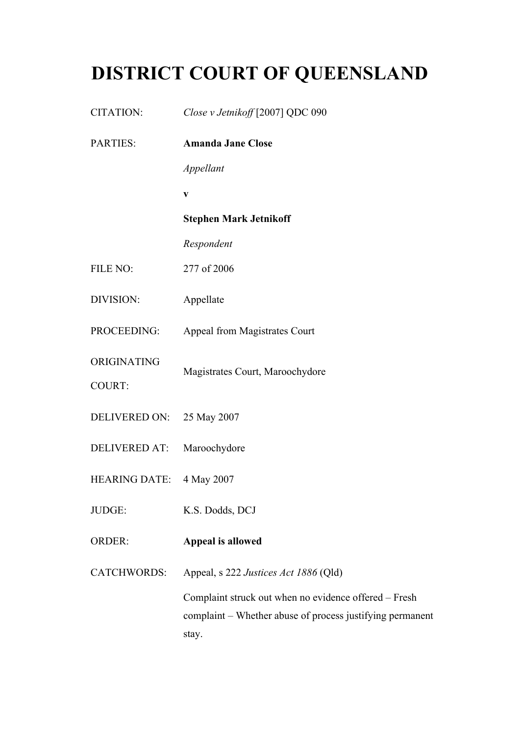## **DISTRICT COURT OF QUEENSLAND**

| CITATION:            | Close v Jetnikoff [2007] QDC 090                                   |
|----------------------|--------------------------------------------------------------------|
| <b>PARTIES:</b>      | <b>Amanda Jane Close</b>                                           |
|                      | Appellant                                                          |
|                      | $\mathbf{V}$                                                       |
|                      | <b>Stephen Mark Jetnikoff</b>                                      |
|                      | Respondent                                                         |
| FILE NO:             | 277 of 2006                                                        |
| DIVISION:            | Appellate                                                          |
| PROCEEDING:          | Appeal from Magistrates Court                                      |
| ORIGINATING          | Magistrates Court, Maroochydore                                    |
| <b>COURT:</b>        |                                                                    |
| <b>DELIVERED ON:</b> | 25 May 2007                                                        |
| <b>DELIVERED AT:</b> | Maroochydore                                                       |
| <b>HEARING DATE:</b> | 4 May 2007                                                         |
| JUDGE:               | K.S. Dodds, DCJ                                                    |
| <b>ORDER:</b>        | Appeal is allowed                                                  |
| <b>CATCHWORDS:</b>   | Appeal, s 222 Justices Act 1886 (Qld)                              |
|                      | Complaint struck out when no evidence offered - Fresh              |
|                      | complaint - Whether abuse of process justifying permanent<br>stay. |
|                      |                                                                    |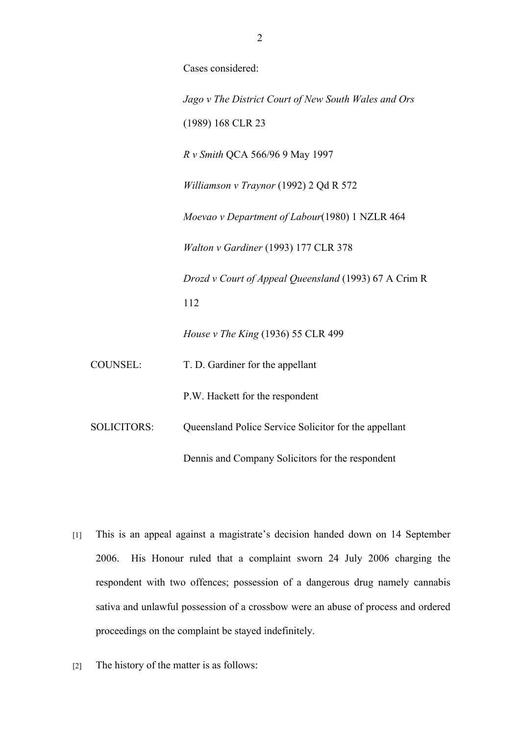Cases considered: *Jago v The District Court of New South Wales and Ors* (1989) 168 CLR 23 *R v Smith* QCA 566/96 9 May 1997 *Williamson v Traynor* (1992) 2 Qd R 572 *Moevao v Department of Labour*(1980) 1 NZLR 464 *Walton v Gardiner* (1993) 177 CLR 378 *Drozd v Court of Appeal Queensland* (1993) 67 A Crim R 112 *House v The King* (1936) 55 CLR 499 COUNSEL: T. D. Gardiner for the appellant P.W. Hackett for the respondent SOLICITORS: Queensland Police Service Solicitor for the appellant

[1] This is an appeal against a magistrate's decision handed down on 14 September 2006. His Honour ruled that a complaint sworn 24 July 2006 charging the respondent with two offences; possession of a dangerous drug namely cannabis sativa and unlawful possession of a crossbow were an abuse of process and ordered proceedings on the complaint be stayed indefinitely.

Dennis and Company Solicitors for the respondent

[2] The history of the matter is as follows: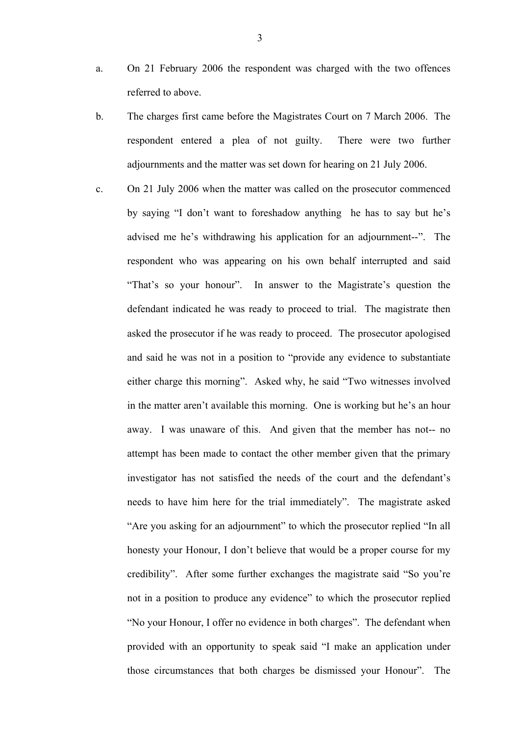- a. On 21 February 2006 the respondent was charged with the two offences referred to above.
- b. The charges first came before the Magistrates Court on 7 March 2006. The respondent entered a plea of not guilty. There were two further adjournments and the matter was set down for hearing on 21 July 2006.
- c. On 21 July 2006 when the matter was called on the prosecutor commenced by saying "I don't want to foreshadow anything he has to say but he's advised me he's withdrawing his application for an adjournment--". The respondent who was appearing on his own behalf interrupted and said "That's so your honour". In answer to the Magistrate's question the defendant indicated he was ready to proceed to trial. The magistrate then asked the prosecutor if he was ready to proceed. The prosecutor apologised and said he was not in a position to "provide any evidence to substantiate either charge this morning". Asked why, he said "Two witnesses involved in the matter aren't available this morning. One is working but he's an hour away. I was unaware of this. And given that the member has not-- no attempt has been made to contact the other member given that the primary investigator has not satisfied the needs of the court and the defendant's needs to have him here for the trial immediately". The magistrate asked "Are you asking for an adjournment" to which the prosecutor replied "In all honesty your Honour, I don't believe that would be a proper course for my credibility". After some further exchanges the magistrate said "So you're not in a position to produce any evidence" to which the prosecutor replied "No your Honour, I offer no evidence in both charges". The defendant when provided with an opportunity to speak said "I make an application under those circumstances that both charges be dismissed your Honour". The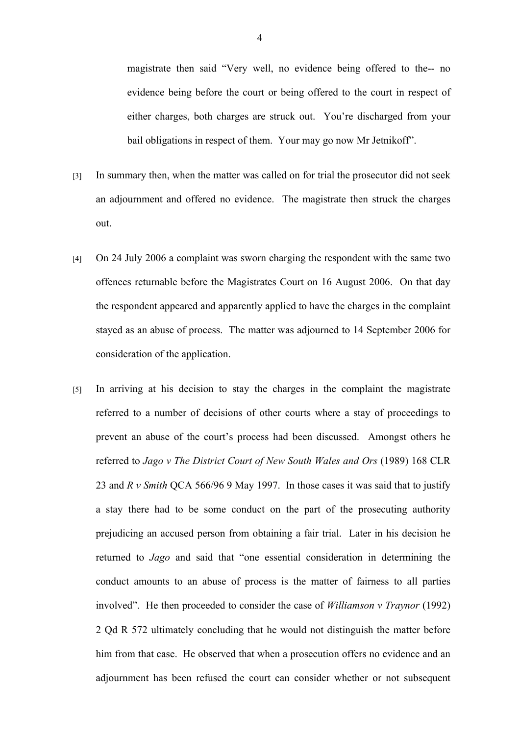magistrate then said "Very well, no evidence being offered to the-- no evidence being before the court or being offered to the court in respect of either charges, both charges are struck out. You're discharged from your bail obligations in respect of them. Your may go now Mr Jetnikoff".

- [3] In summary then, when the matter was called on for trial the prosecutor did not seek an adjournment and offered no evidence. The magistrate then struck the charges out.
- [4] On 24 July 2006 a complaint was sworn charging the respondent with the same two offences returnable before the Magistrates Court on 16 August 2006. On that day the respondent appeared and apparently applied to have the charges in the complaint stayed as an abuse of process. The matter was adjourned to 14 September 2006 for consideration of the application.
- [5] In arriving at his decision to stay the charges in the complaint the magistrate referred to a number of decisions of other courts where a stay of proceedings to prevent an abuse of the court's process had been discussed. Amongst others he referred to *Jago v The District Court of New South Wales and Ors* (1989) 168 CLR 23 and *R v Smith* QCA 566/96 9 May 1997. In those cases it was said that to justify a stay there had to be some conduct on the part of the prosecuting authority prejudicing an accused person from obtaining a fair trial. Later in his decision he returned to *Jago* and said that "one essential consideration in determining the conduct amounts to an abuse of process is the matter of fairness to all parties involved". He then proceeded to consider the case of *Williamson v Traynor* (1992) 2 Qd R 572 ultimately concluding that he would not distinguish the matter before him from that case. He observed that when a prosecution offers no evidence and an adjournment has been refused the court can consider whether or not subsequent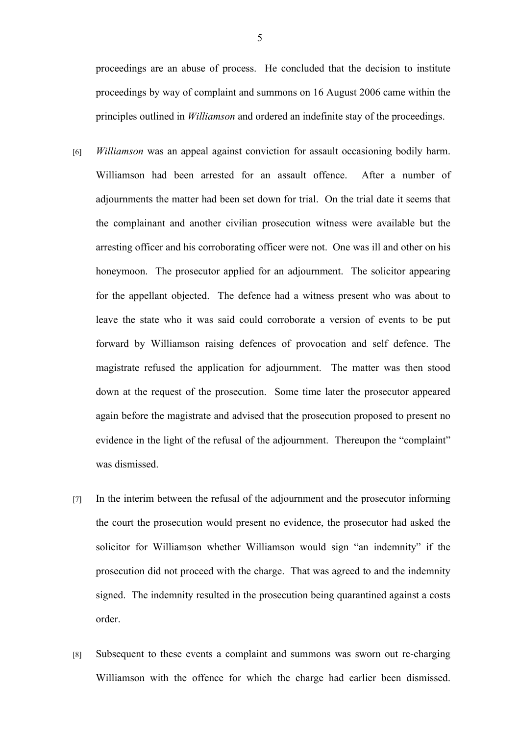proceedings are an abuse of process. He concluded that the decision to institute proceedings by way of complaint and summons on 16 August 2006 came within the principles outlined in *Williamson* and ordered an indefinite stay of the proceedings.

- [6] *Williamson* was an appeal against conviction for assault occasioning bodily harm. Williamson had been arrested for an assault offence. After a number of adjournments the matter had been set down for trial. On the trial date it seems that the complainant and another civilian prosecution witness were available but the arresting officer and his corroborating officer were not. One was ill and other on his honeymoon. The prosecutor applied for an adjournment. The solicitor appearing for the appellant objected. The defence had a witness present who was about to leave the state who it was said could corroborate a version of events to be put forward by Williamson raising defences of provocation and self defence. The magistrate refused the application for adjournment. The matter was then stood down at the request of the prosecution. Some time later the prosecutor appeared again before the magistrate and advised that the prosecution proposed to present no evidence in the light of the refusal of the adjournment. Thereupon the "complaint" was dismissed.
- [7] In the interim between the refusal of the adjournment and the prosecutor informing the court the prosecution would present no evidence, the prosecutor had asked the solicitor for Williamson whether Williamson would sign "an indemnity" if the prosecution did not proceed with the charge. That was agreed to and the indemnity signed. The indemnity resulted in the prosecution being quarantined against a costs order.
- [8] Subsequent to these events a complaint and summons was sworn out re-charging Williamson with the offence for which the charge had earlier been dismissed.

5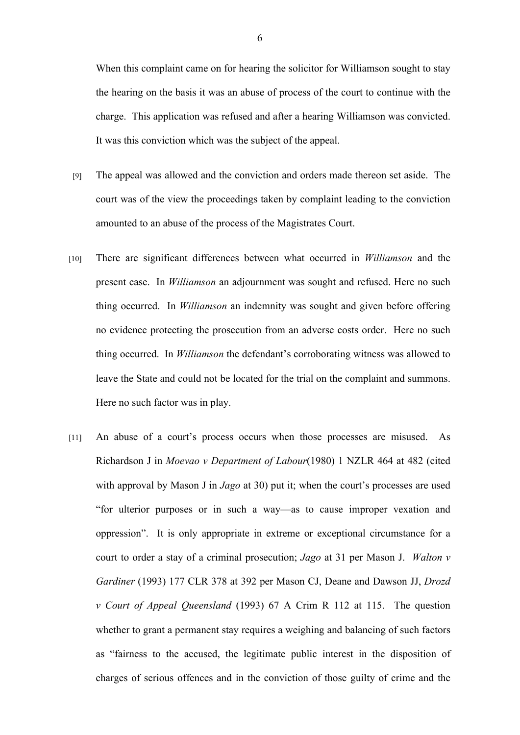When this complaint came on for hearing the solicitor for Williamson sought to stay the hearing on the basis it was an abuse of process of the court to continue with the charge. This application was refused and after a hearing Williamson was convicted. It was this conviction which was the subject of the appeal.

- [9] The appeal was allowed and the conviction and orders made thereon set aside. The court was of the view the proceedings taken by complaint leading to the conviction amounted to an abuse of the process of the Magistrates Court.
- [10] There are significant differences between what occurred in *Williamson* and the present case. In *Williamson* an adjournment was sought and refused. Here no such thing occurred. In *Williamson* an indemnity was sought and given before offering no evidence protecting the prosecution from an adverse costs order. Here no such thing occurred. In *Williamson* the defendant's corroborating witness was allowed to leave the State and could not be located for the trial on the complaint and summons. Here no such factor was in play.
- [11] An abuse of a court's process occurs when those processes are misused. As Richardson J in *Moevao v Department of Labour*(1980) 1 NZLR 464 at 482 (cited with approval by Mason J in *Jago* at 30) put it; when the court's processes are used "for ulterior purposes or in such a way—as to cause improper vexation and oppression". It is only appropriate in extreme or exceptional circumstance for a court to order a stay of a criminal prosecution; *Jago* at 31 per Mason J. *Walton v Gardiner* (1993) 177 CLR 378 at 392 per Mason CJ, Deane and Dawson JJ, *Drozd v Court of Appeal Queensland* (1993) 67 A Crim R 112 at 115. The question whether to grant a permanent stay requires a weighing and balancing of such factors as "fairness to the accused, the legitimate public interest in the disposition of charges of serious offences and in the conviction of those guilty of crime and the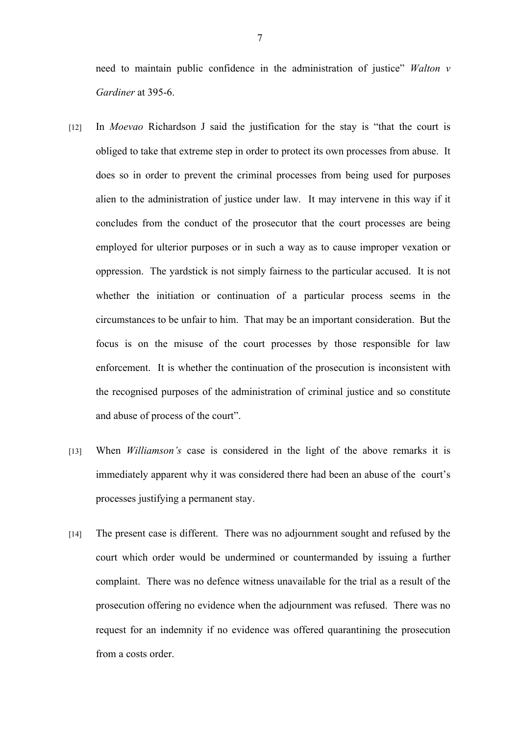need to maintain public confidence in the administration of justice" *Walton v Gardiner* at 395-6.

- [12] In *Moevao* Richardson J said the justification for the stay is "that the court is obliged to take that extreme step in order to protect its own processes from abuse. It does so in order to prevent the criminal processes from being used for purposes alien to the administration of justice under law. It may intervene in this way if it concludes from the conduct of the prosecutor that the court processes are being employed for ulterior purposes or in such a way as to cause improper vexation or oppression. The yardstick is not simply fairness to the particular accused. It is not whether the initiation or continuation of a particular process seems in the circumstances to be unfair to him. That may be an important consideration. But the focus is on the misuse of the court processes by those responsible for law enforcement. It is whether the continuation of the prosecution is inconsistent with the recognised purposes of the administration of criminal justice and so constitute and abuse of process of the court".
- [13] When *Williamson's* case is considered in the light of the above remarks it is immediately apparent why it was considered there had been an abuse of the court's processes justifying a permanent stay.
- [14] The present case is different. There was no adjournment sought and refused by the court which order would be undermined or countermanded by issuing a further complaint. There was no defence witness unavailable for the trial as a result of the prosecution offering no evidence when the adjournment was refused. There was no request for an indemnity if no evidence was offered quarantining the prosecution from a costs order.